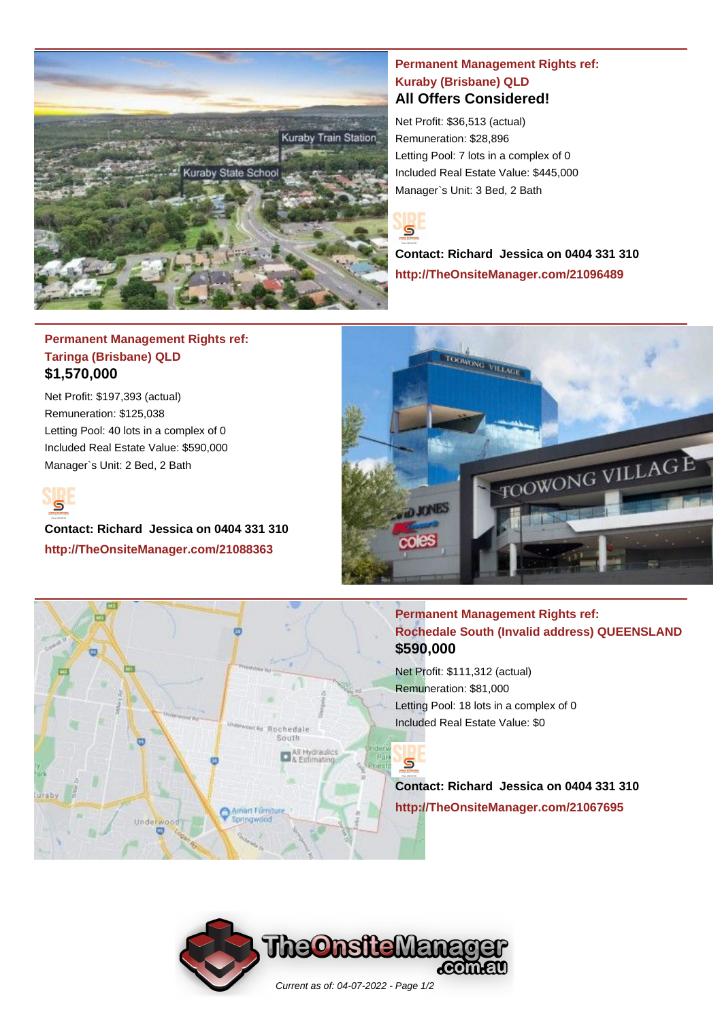

### **Permanent Management Rights ref: Kuraby (Brisbane) QLD All Offers Considered!**

Net Profit: \$36,513 (actual) Remuneration: \$28,896 Letting Pool: 7 lots in a complex of 0 Included Real Estate Value: \$445,000 Manager`s Unit: 3 Bed, 2 Bath



**Contact: Richard Jessica on 0404 331 310 http://TheOnsiteManager.com/21096489**

## **Permanent Management Rights ref: Taringa (Brisbane) QLD \$1,570,000**

Net Profit: \$197,393 (actual) Remuneration: \$125,038 Letting Pool: 40 lots in a complex of 0 Included Real Estate Value: \$590,000 Manager`s Unit: 2 Bed, 2 Bath



**PP** 

**Contact: Richard Jessica on 0404 331 310 http://TheOnsiteManager.com/21088363**

Underwood



# **Permanent Management Rights ref: Rochedale South (Invalid address) QUEENSLAND \$590,000**

Net Profit: \$111,312 (actual) Remuneration: \$81,000 Letting Pool: 18 lots in a complex of 0 Included Real Estate Value: \$0

 $\mathbf{S}$ 

**Contact: Richard Jessica on 0404 331 310 http://TheOnsiteManager.com/21067695**



Rochedale South

o

Amart Furnitu Springwood

All Hydraulics<br>& Estimating